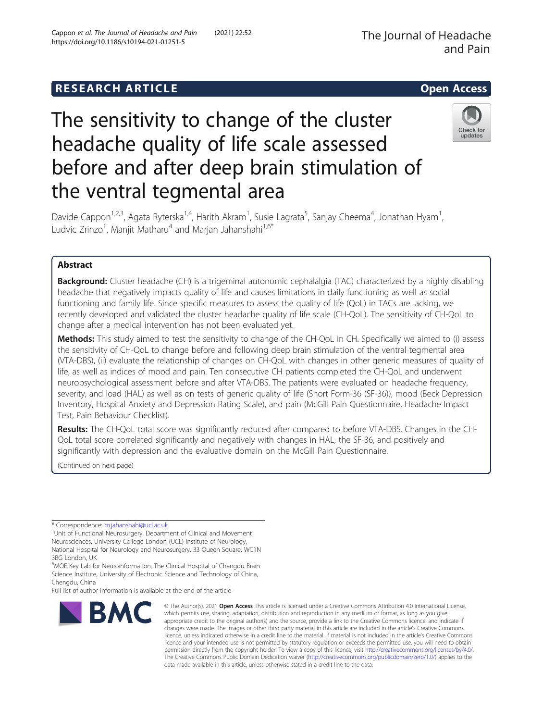# **RESEARCH ARTICLE Example 2014 12:30 The SEAR CH ACCESS**

# The sensitivity to change of the cluster headache quality of life scale assessed before and after deep brain stimulation of the ventral tegmental area



Davide Cappon<sup>1,2,3</sup>, Agata Ryterska<sup>1,4</sup>, Harith Akram<sup>1</sup>, Susie Lagrata<sup>5</sup>, Sanjay Cheema<sup>4</sup>, Jonathan Hyam<sup>1</sup> , Ludvic Zrinzo<sup>1</sup>, Manjit Matharu<sup>4</sup> and Marjan Jahanshahi<sup>1,6\*</sup>

# Abstract

**Background:** Cluster headache (CH) is a trigeminal autonomic cephalalgia (TAC) characterized by a highly disabling headache that negatively impacts quality of life and causes limitations in daily functioning as well as social functioning and family life. Since specific measures to assess the quality of life (QoL) in TACs are lacking, we recently developed and validated the cluster headache quality of life scale (CH-QoL). The sensitivity of CH-QoL to change after a medical intervention has not been evaluated yet.

Methods: This study aimed to test the sensitivity to change of the CH-QoL in CH. Specifically we aimed to (i) assess the sensitivity of CH-QoL to change before and following deep brain stimulation of the ventral tegmental area (VTA-DBS), (ii) evaluate the relationship of changes on CH-QoL with changes in other generic measures of quality of life, as well as indices of mood and pain. Ten consecutive CH patients completed the CH-QoL and underwent neuropsychological assessment before and after VTA-DBS. The patients were evaluated on headache frequency, severity, and load (HAL) as well as on tests of generic quality of life (Short Form-36 (SF-36)), mood (Beck Depression Inventory, Hospital Anxiety and Depression Rating Scale), and pain (McGill Pain Questionnaire, Headache Impact Test, Pain Behaviour Checklist).

Results: The CH-QoL total score was significantly reduced after compared to before VTA-DBS. Changes in the CH-QoL total score correlated significantly and negatively with changes in HAL, the SF-36, and positively and significantly with depression and the evaluative domain on the McGill Pain Questionnaire.

(Continued on next page)

\* Correspondence: [m.jahanshahi@ucl.ac.uk](mailto:m.jahanshahi@ucl.ac.uk) <sup>1</sup>

<sup>1</sup>Unit of Functional Neurosurgery, Department of Clinical and Movement Neurosciences, University College London (UCL) Institute of Neurology,

National Hospital for Neurology and Neurosurgery, 33 Queen Square, WC1N 3BG London, UK <sup>6</sup>MOE Key Lab for Neuroinformation, The Clinical Hospital of Chengdu Brain

Science Institute, University of Electronic Science and Technology of China, Chengdu, China

Full list of author information is available at the end of the article



<sup>©</sup> The Author(s), 2021 **Open Access** This article is licensed under a Creative Commons Attribution 4.0 International License, which permits use, sharing, adaptation, distribution and reproduction in any medium or format, as long as you give appropriate credit to the original author(s) and the source, provide a link to the Creative Commons licence, and indicate if changes were made. The images or other third party material in this article are included in the article's Creative Commons licence, unless indicated otherwise in a credit line to the material. If material is not included in the article's Creative Commons licence and your intended use is not permitted by statutory regulation or exceeds the permitted use, you will need to obtain permission directly from the copyright holder. To view a copy of this licence, visit [http://creativecommons.org/licenses/by/4.0/.](http://creativecommons.org/licenses/by/4.0/) The Creative Commons Public Domain Dedication waiver [\(http://creativecommons.org/publicdomain/zero/1.0/](http://creativecommons.org/publicdomain/zero/1.0/)) applies to the data made available in this article, unless otherwise stated in a credit line to the data.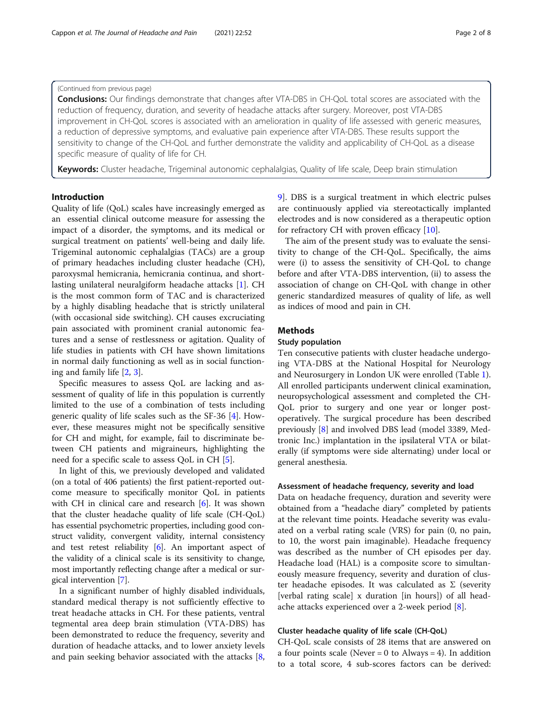# (Continued from previous page)

**Conclusions:** Our findings demonstrate that changes after VTA-DBS in CH-QoL total scores are associated with the reduction of frequency, duration, and severity of headache attacks after surgery. Moreover, post VTA-DBS improvement in CH-QoL scores is associated with an amelioration in quality of life assessed with generic measures, a reduction of depressive symptoms, and evaluative pain experience after VTA-DBS. These results support the sensitivity to change of the CH-QoL and further demonstrate the validity and applicability of CH-QoL as a disease specific measure of quality of life for CH.

Keywords: Cluster headache, Trigeminal autonomic cephalalgias, Quality of life scale, Deep brain stimulation

# Introduction

Quality of life (QoL) scales have increasingly emerged as an essential clinical outcome measure for assessing the impact of a disorder, the symptoms, and its medical or surgical treatment on patients' well-being and daily life. Trigeminal autonomic cephalalgias (TACs) are a group of primary headaches including cluster headache (CH), paroxysmal hemicrania, hemicrania continua, and shortlasting unilateral neuralgiform headache attacks [\[1](#page-6-0)]. CH is the most common form of TAC and is characterized by a highly disabling headache that is strictly unilateral (with occasional side switching). CH causes excruciating pain associated with prominent cranial autonomic features and a sense of restlessness or agitation. Quality of life studies in patients with CH have shown limitations in normal daily functioning as well as in social functioning and family life [[2,](#page-6-0) [3\]](#page-6-0).

Specific measures to assess QoL are lacking and assessment of quality of life in this population is currently limited to the use of a combination of tests including generic quality of life scales such as the SF-36 [[4\]](#page-6-0). However, these measures might not be specifically sensitive for CH and might, for example, fail to discriminate between CH patients and migraineurs, highlighting the need for a specific scale to assess QoL in CH [\[5](#page-6-0)].

In light of this, we previously developed and validated (on a total of 406 patients) the first patient-reported outcome measure to specifically monitor QoL in patients with CH in clinical care and research [\[6\]](#page-7-0). It was shown that the cluster headache quality of life scale (CH-QoL) has essential psychometric properties, including good construct validity, convergent validity, internal consistency and test retest reliability  $[6]$  $[6]$  $[6]$ . An important aspect of the validity of a clinical scale is its sensitivity to change, most importantly reflecting change after a medical or surgical intervention [\[7\]](#page-7-0).

In a significant number of highly disabled individuals, standard medical therapy is not sufficiently effective to treat headache attacks in CH. For these patients, ventral tegmental area deep brain stimulation (VTA-DBS) has been demonstrated to reduce the frequency, severity and duration of headache attacks, and to lower anxiety levels and pain seeking behavior associated with the attacks [\[8](#page-7-0), [9\]](#page-7-0). DBS is a surgical treatment in which electric pulses are continuously applied via stereotactically implanted electrodes and is now considered as a therapeutic option for refractory CH with proven efficacy [[10](#page-7-0)].

The aim of the present study was to evaluate the sensitivity to change of the CH-QoL. Specifically, the aims were (i) to assess the sensitivity of CH-QoL to change before and after VTA-DBS intervention, (ii) to assess the association of change on CH-QoL with change in other generic standardized measures of quality of life, as well as indices of mood and pain in CH.

# **Methods**

# Study population

Ten consecutive patients with cluster headache undergoing VTA-DBS at the National Hospital for Neurology and Neurosurgery in London UK were enrolled (Table [1](#page-2-0)). All enrolled participants underwent clinical examination, neuropsychological assessment and completed the CH-QoL prior to surgery and one year or longer postoperatively. The surgical procedure has been described previously [\[8](#page-7-0)] and involved DBS lead (model 3389, Medtronic Inc.) implantation in the ipsilateral VTA or bilaterally (if symptoms were side alternating) under local or general anesthesia.

# Assessment of headache frequency, severity and load

Data on headache frequency, duration and severity were obtained from a "headache diary" completed by patients at the relevant time points. Headache severity was evaluated on a verbal rating scale (VRS) for pain (0, no pain, to 10, the worst pain imaginable). Headache frequency was described as the number of CH episodes per day. Headache load (HAL) is a composite score to simultaneously measure frequency, severity and duration of cluster headache episodes. It was calculated as  $\Sigma$  (severity [verbal rating scale] x duration [in hours]) of all headache attacks experienced over a 2-week period [\[8](#page-7-0)].

# Cluster headache quality of life scale (CH-QoL)

CH-QoL scale consists of 28 items that are answered on a four points scale (Never  $= 0$  to Always  $= 4$ ). In addition to a total score, 4 sub-scores factors can be derived: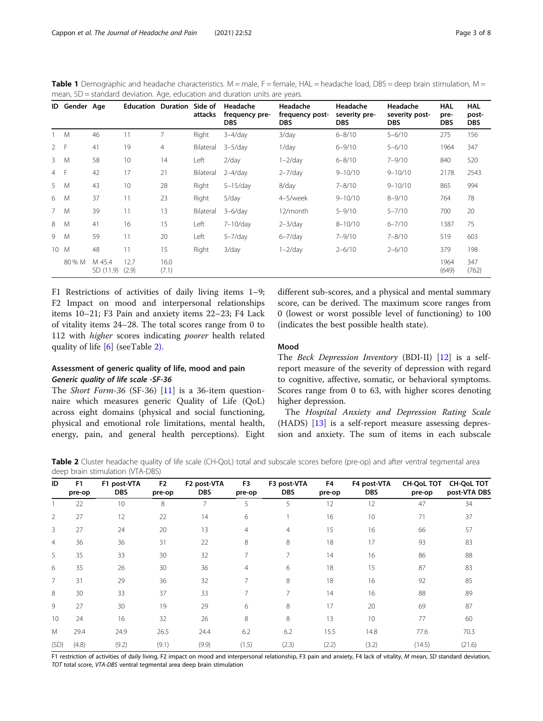<span id="page-2-0"></span>Table 1 Demographic and headache characteristics. M = male,  $F =$  female, HAL = headache load, DBS = deep brain stimulation, M = mean, SD = standard deviation. Age, education and duration units are years.

| ID             | Gender Age |                     | <b>Education Duration Side of</b> |                | attacks   | Headache<br>frequency pre-<br><b>DBS</b> | Headache<br>frequency post-<br><b>DBS</b> | Headache<br>severity pre-<br><b>DBS</b> | Headache<br>severity post-<br><b>DBS</b> | <b>HAL</b><br>pre-<br>DBS. | <b>HAL</b><br>post-<br><b>DBS</b> |
|----------------|------------|---------------------|-----------------------------------|----------------|-----------|------------------------------------------|-------------------------------------------|-----------------------------------------|------------------------------------------|----------------------------|-----------------------------------|
| 1 M            |            | 46                  | 11                                |                | Right     | $3-4$ /day                               | $3$ /day                                  | $6 - 8/10$                              | $5 - 6/10$                               | 275                        | 156                               |
| 2 F            |            | 41                  | 19                                | $\overline{4}$ | Bilateral | $3-5$ /day                               | $1$ /day                                  | $6 - 9/10$                              | $5 - 6/10$                               | 1964                       | 347                               |
| $\mathbf{3}$   | M          | 58                  | 10                                | 14             | Left      | $2$ /day                                 | $1 - 2$ /day                              | $6 - 8/10$                              | $7 - 9/10$                               | 840                        | 520                               |
| $\overline{4}$ | - F        | 42                  | 17                                | 21             | Bilateral | $2-4$ /day                               | $2 - 7$ /day                              | $9 - 10/10$                             | $9 - 10/10$                              | 2178                       | 2543                              |
| 5              | M          | 43                  | 10                                | 28             | Right     | $5-15$ /day                              | 8/day                                     | $7 - 8/10$                              | $9 - 10/10$                              | 865                        | 994                               |
| 6              | M          | 37                  | 11                                | 23             | Right     | 5/day                                    | 4-5/week                                  | $9 - 10/10$                             | $8 - 9/10$                               | 764                        | 78                                |
| 7 M            |            | 39                  | 11                                | 13             | Bilateral | $3-6$ /day                               | 12/month                                  | $5 - 9/10$                              | $5 - 7/10$                               | 700                        | 20                                |
| 8              | M          | 41                  | 16                                | 15             | Left      | 7-10/day                                 | $2 - 3$ /day                              | $8 - 10/10$                             | $6 - 7/10$                               | 1387                       | 75                                |
| 9              | M          | 59                  | 11                                | 20             | Left      | $5 - 7$ /day                             | $6 - 7$ /day                              | $7 - 9/10$                              | $7 - 8/10$                               | 519                        | 603                               |
| 10 M           |            | 48                  | 11                                | 15             | Right     | 3/day                                    | $1 - 2$ /day                              | $2 - 6/10$                              | $2 - 6/10$                               | 379                        | 198                               |
|                | 80 % M     | M 45.4<br>SD (11.9) | 12.7<br>(2.9)                     | 16.0<br>(7.1)  |           |                                          |                                           |                                         |                                          | 1964<br>(649)              | 347<br>(762)                      |

F1 Restrictions of activities of daily living items 1–9; F2 Impact on mood and interpersonal relationships items 10–21; F3 Pain and anxiety items 22–23; F4 Lack of vitality items 24–28. The total scores range from 0 to 112 with *higher* scores indicating *poorer* health related quality of life [[6\]](#page-7-0) (seeTable 2).

# Assessment of generic quality of life, mood and pain Generic quality of life scale -SF-36

The *Short Form-36* (SF-36) [\[11](#page-7-0)] is a 36-item questionnaire which measures generic Quality of Life (QoL) across eight domains (physical and social functioning, physical and emotional role limitations, mental health, energy, pain, and general health perceptions). Eight different sub-scores, and a physical and mental summary score, can be derived. The maximum score ranges from 0 (lowest or worst possible level of functioning) to 100 (indicates the best possible health state).

# Mood

The Beck Depression Inventory (BDI-II) [\[12](#page-7-0)] is a selfreport measure of the severity of depression with regard to cognitive, affective, somatic, or behavioral symptoms. Scores range from 0 to 63, with higher scores denoting higher depression.

The Hospital Anxiety and Depression Rating Scale (HADS) [\[13](#page-7-0)] is a self-report measure assessing depression and anxiety. The sum of items in each subscale

Table 2 Cluster headache quality of life scale (CH-QoL) total and subscale scores before (pre-op) and after ventral tegmental area deep brain stimulation (VTA-DBS)

| ID             | F <sub>1</sub><br>pre-op | F1 post-VTA<br><b>DBS</b> | F <sub>2</sub><br>pre-op | F2 post-VTA<br><b>DBS</b> | F <sub>3</sub><br>pre-op | F3 post-VTA<br><b>DBS</b> | F4<br>pre-op | F4 post-VTA<br><b>DBS</b> | <b>CH-QoL TOT</b><br>pre-op | <b>CH-QoL TOT</b><br>post-VTA DBS |
|----------------|--------------------------|---------------------------|--------------------------|---------------------------|--------------------------|---------------------------|--------------|---------------------------|-----------------------------|-----------------------------------|
|                | 22                       | 10                        | 8                        |                           | 5                        | 5                         | 12           | 12                        | 47                          | 34                                |
| 2              | 27                       | 12                        | 22                       | 14                        | 6                        |                           | 16           | 10                        | 71                          | 37                                |
| 3              | 27                       | 24                        | 20                       | 13                        | $\overline{4}$           | $\overline{4}$            | 15           | 16                        | 66                          | 57                                |
| $\overline{4}$ | 36                       | 36                        | 31                       | 22                        | 8                        | 8                         | 18           | 17                        | 93                          | 83                                |
| 5              | 35                       | 33                        | 30                       | 32                        | 7                        | 7                         | 14           | 16                        | 86                          | 88                                |
| 6              | 35                       | 26                        | 30                       | 36                        | $\overline{4}$           | 6                         | 18           | 15                        | 87                          | 83                                |
| $\overline{7}$ | 31                       | 29                        | 36                       | 32                        | 7                        | 8                         | 18           | 16                        | 92                          | 85                                |
| 8              | 30                       | 33                        | 37                       | 33                        | 7                        | 7                         | 14           | 16                        | 88                          | 89                                |
| 9              | 27                       | 30                        | 19                       | 29                        | 6                        | 8                         | 17           | 20                        | 69                          | 87                                |
| 10             | 24                       | 16                        | 32                       | 26                        | 8                        | 8                         | 13           | 10                        | 77                          | 60                                |
| M              | 29.4                     | 24.9                      | 26.5                     | 24.4                      | 6.2                      | 6.2                       | 15.5         | 14.8                      | 77.6                        | 70.3                              |
| (SD)           | (4.8)                    | (9.2)                     | (9.1)                    | (9.9)                     | (1.5)                    | (2.3)                     | (2.2)        | (3.2)                     | (14.5)                      | (21.6)                            |

F1 restriction of activities of daily living, F2 impact on mood and interpersonal relationship, F3 pain and anxiety, F4 lack of vitality, M mean, SD standard deviation, TOT total score, VTA-DBS ventral tegmental area deep brain stimulation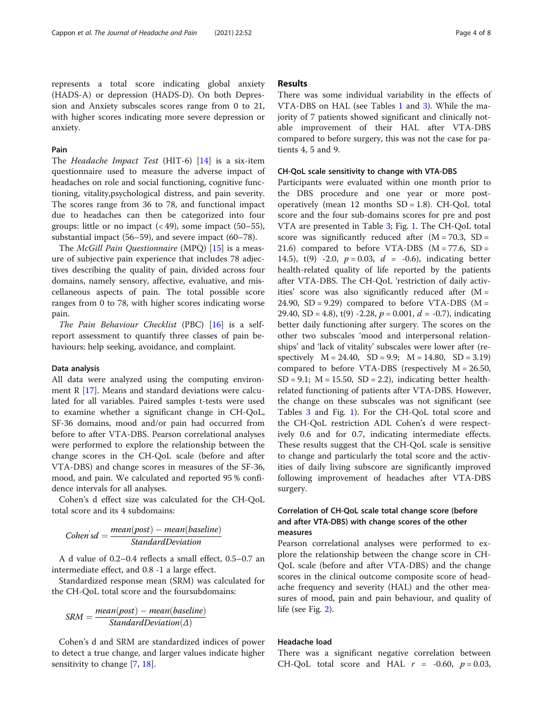with higher scores indicating more severe depression or

# Pain

anxiety.

The Headache Impact Test (HIT-6) [[14\]](#page-7-0) is a six-item questionnaire used to measure the adverse impact of headaches on role and social functioning, cognitive functioning, vitality,psychological distress, and pain severity. The scores range from 36 to 78, and functional impact due to headaches can then be categorized into four groups: little or no impact  $( $49$ ), some impact  $(50-55)$ ,$ substantial impact (56–59), and severe impact (60–78).

The McGill Pain Questionnaire (MPQ) [[15\]](#page-7-0) is a measure of subjective pain experience that includes 78 adjectives describing the quality of pain, divided across four domains, namely sensory, affective, evaluative, and miscellaneous aspects of pain. The total possible score ranges from 0 to 78, with higher scores indicating worse pain.

The Pain Behaviour Checklist (PBC) [[16](#page-7-0)] is a selfreport assessment to quantify three classes of pain behaviours: help seeking, avoidance, and complaint.

# Data analysis

All data were analyzed using the computing environ-ment R [[17](#page-7-0)]. Means and standard deviations were calculated for all variables. Paired samples t-tests were used to examine whether a significant change in CH-QoL, SF-36 domains, mood and/or pain had occurred from before to after VTA-DBS. Pearson correlational analyses were performed to explore the relationship between the change scores in the CH-QoL scale (before and after VTA-DBS) and change scores in measures of the SF-36, mood, and pain. We calculated and reported 95 % confidence intervals for all analyses.

Cohen's d effect size was calculated for the CH-QoL total score and its 4 subdomains:

$$
Cohen'sd = \frac{mean(post) - mean(baseline)}{StandardDeviation}
$$

A d value of 0.2–0.4 reflects a small effect, 0.5–0.7 an intermediate effect, and 0.8 -1 a large effect.

Standardized response mean (SRM) was calculated for the CH-QoL total score and the foursubdomains:

$$
SRM = \frac{mean(post) - mean(baseline)}{StandardDeviation(\Delta)}
$$

Cohen's d and SRM are standardized indices of power to detect a true change, and larger values indicate higher sensitivity to change [[7,](#page-7-0) [18\]](#page-7-0).

# Results

There was some individual variability in the effects of VTA-DBS on HAL (see Tables [1](#page-2-0) and [3\)](#page-4-0). While the majority of 7 patients showed significant and clinically notable improvement of their HAL after VTA-DBS compared to before surgery, this was not the case for patients 4, 5 and 9.

# CH-QoL scale sensitivity to change with VTA-DBS

Participants were evaluated within one month prior to the DBS procedure and one year or more postoperatively (mean  $12$  months  $SD = 1.8$ ). CH-QoL total score and the four sub-domains scores for pre and post VTA are presented in Table [3;](#page-4-0) Fig. [1](#page-4-0). The CH-QoL total score was significantly reduced after  $(M = 70.3, SD =$ 21.6) compared to before VTA-DBS ( $M = 77.6$ , SD = 14.5),  $t(9)$  -2.0,  $p = 0.03$ ,  $d = -0.6$ ), indicating better health-related quality of life reported by the patients after VTA-DBS. The CH-QoL 'restriction of daily activities' score was also significantly reduced after  $(M =$ 24.90,  $SD = 9.29$ ) compared to before VTA-DBS (M = 29.40, SD = 4.8), t(9) -2.28,  $p = 0.001$ ,  $d = -0.7$ ), indicating better daily functioning after surgery. The scores on the other two subscales 'mood and interpersonal relationships' and 'lack of vitality' subscales were lower after (respectively  $M = 24.40$ ,  $SD = 9.9$ ;  $M = 14.80$ ,  $SD = 3.19$ ) compared to before VTA-DBS (respectively  $M = 26.50$ ,  $SD = 9.1$ ;  $M = 15.50$ ,  $SD = 2.2$ ), indicating better healthrelated functioning of patients after VTA-DBS. However, the change on these subscales was not significant (see Tables [3](#page-4-0) and Fig. [1\)](#page-4-0). For the CH-QoL total score and the CH-QoL restriction ADL Cohen's d were respectively 0.6 and for 0.7, indicating intermediate effects. These results suggest that the CH-QoL scale is sensitive to change and particularly the total score and the activities of daily living subscore are significantly improved following improvement of headaches after VTA-DBS surgery.

# Correlation of CH-QoL scale total change score (before and after VTA-DBS) with change scores of the other measures

Pearson correlational analyses were performed to explore the relationship between the change score in CH-QoL scale (before and after VTA-DBS) and the change scores in the clinical outcome composite score of headache frequency and severity (HAL) and the other measures of mood, pain and pain behaviour, and quality of life (see Fig. [2](#page-5-0)).

# Headache load

There was a significant negative correlation between CH-QoL total score and HAL  $r = -0.60$ ,  $p = 0.03$ ,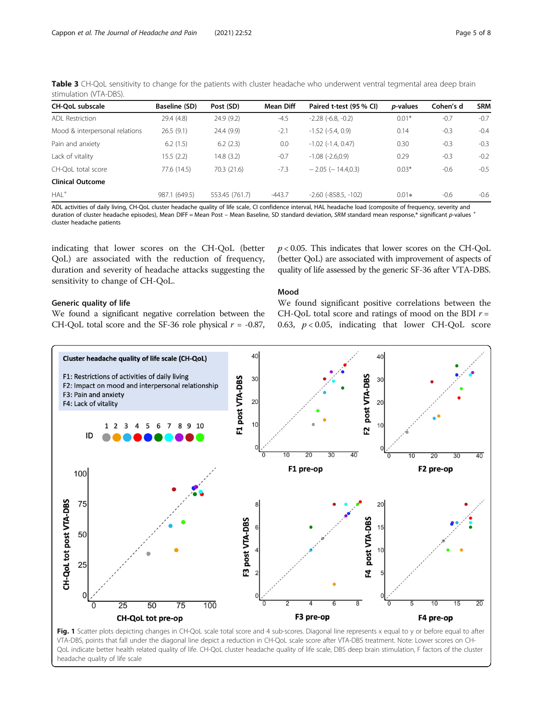<span id="page-4-0"></span>Table 3 CH-QoL sensitivity to change for the patients with cluster headache who underwent ventral tegmental area deep brain stimulation (VTA-DBS).

| <b>CH-OoL subscale</b>         | Baseline (SD) | Post (SD)      | Mean Diff | Paired t-test (95 % CI)    | <i>p</i> -values | Cohen's d | <b>SRM</b> |
|--------------------------------|---------------|----------------|-----------|----------------------------|------------------|-----------|------------|
| ADL Restriction                | 29.4 (4.8)    | 24.9(9.2)      | $-4.5$    | $-2.28$ $(-6.8, -0.2)$     | $0.01*$          | $-0.7$    | $-0.7$     |
| Mood & interpersonal relations | 26.5(9.1)     | 24.4 (9.9)     | $-2.1$    | $-1.52$ $(-5.4, 0.9)$      | 0.14             | $-0.3$    | $-0.4$     |
| Pain and anxiety               | 6.2(1.5)      | 6.2(2.3)       | 0.0       | $-1.02$ $(-1.4, 0.47)$     | 0.30             | $-0.3$    | $-0.3$     |
| Lack of vitality               | 15.5(2.2)     | 14.8 (3.2)     | $-0.7$    | $-1.08$ $(-2.6,0.9)$       | 0.29             | $-0.3$    | $-0.2$     |
| CH-OoL total score             | 77.6 (14.5)   | 70.3 (21.6)    | $-7.3$    | $-2.05$ ( $-14.4.0.3$ )    | $0.03*$          | $-0.6$    | $-0.5$     |
| <b>Clinical Outcome</b>        |               |                |           |                            |                  |           |            |
| $HAL+$                         | 987.1 (649.5) | 553.45 (761.7) | $-443.7$  | $-2.60$ ( $-858.5, -102$ ) | $0.01*$          | $-0.6$    | $-0.6$     |
|                                |               |                |           |                            |                  |           |            |

ADL activities of daily living, CH-QoL cluster headache quality of life scale, CI confidence interval, HAL headache load (composite of frequency, severity and duration of cluster headache episodes), Mean DIFF = Mean Post – Mean Baseline, SD standard deviation, SRM standard mean response,\* significant p-values + cluster headache patients

Mood

indicating that lower scores on the CH-QoL (better QoL) are associated with the reduction of frequency, duration and severity of headache attacks suggesting the sensitivity to change of CH-QoL.

# $p < 0.05$ . This indicates that lower scores on the CH-QoL (better QoL) are associated with improvement of aspects of quality of life assessed by the generic SF-36 after VTA-DBS.

# Generic quality of life

We found a significant negative correlation between the CH-OoL total score and the SF-36 role physical  $r = -0.87$ ,

We found significant positive correlations between the CH-QoL total score and ratings of mood on the BDI  $r =$ 0.63,  $p < 0.05$ , indicating that lower CH-QoL score



VTA-DBS, points that fall under the diagonal line depict a reduction in CH-QoL scale score after VTA-DBS treatment. Note: Lower scores on CH-QoL indicate better health related quality of life. CH-QoL cluster headache quality of life scale, DBS deep brain stimulation, F factors of the cluster headache quality of life scale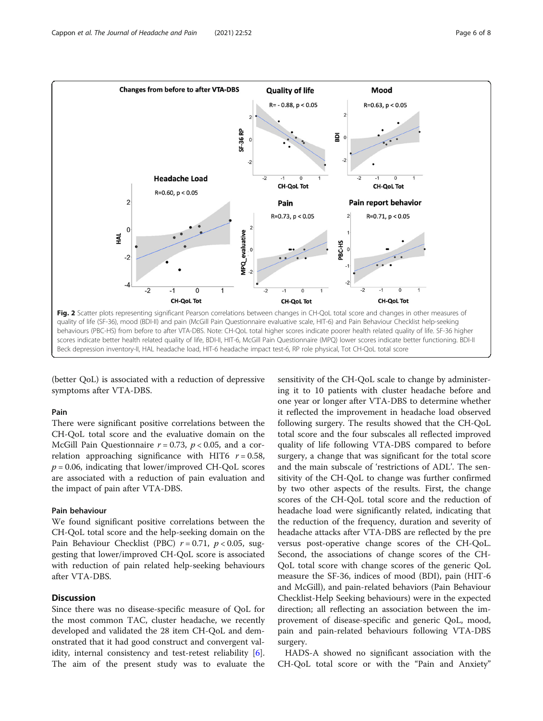<span id="page-5-0"></span>

(better QoL) is associated with a reduction of depressive symptoms after VTA-DBS.

# Pain

There were significant positive correlations between the CH-QoL total score and the evaluative domain on the McGill Pain Questionnaire  $r = 0.73$ ,  $p < 0.05$ , and a correlation approaching significance with HIT6  $r = 0.58$ ,  $p = 0.06$ , indicating that lower/improved CH-QoL scores are associated with a reduction of pain evaluation and the impact of pain after VTA-DBS.

# Pain behaviour

We found significant positive correlations between the CH-QoL total score and the help-seeking domain on the Pain Behaviour Checklist (PBC)  $r = 0.71$ ,  $p < 0.05$ , suggesting that lower/improved CH-QoL score is associated with reduction of pain related help-seeking behaviours after VTA-DBS.

# **Discussion**

Since there was no disease-specific measure of QoL for the most common TAC, cluster headache, we recently developed and validated the 28 item CH-QoL and demonstrated that it had good construct and convergent val-idity, internal consistency and test-retest reliability [\[6](#page-7-0)]. The aim of the present study was to evaluate the

sensitivity of the CH-QoL scale to change by administering it to 10 patients with cluster headache before and one year or longer after VTA-DBS to determine whether it reflected the improvement in headache load observed following surgery. The results showed that the CH-QoL total score and the four subscales all reflected improved quality of life following VTA-DBS compared to before surgery, a change that was significant for the total score and the main subscale of 'restrictions of ADL'. The sensitivity of the CH-QoL to change was further confirmed by two other aspects of the results. First, the change scores of the CH-QoL total score and the reduction of headache load were significantly related, indicating that the reduction of the frequency, duration and severity of headache attacks after VTA-DBS are reflected by the pre versus post-operative change scores of the CH-QoL. Second, the associations of change scores of the CH-QoL total score with change scores of the generic QoL measure the SF-36, indices of mood (BDI), pain (HIT-6 and McGill), and pain-related behaviors (Pain Behaviour Checklist-Help Seeking behaviours) were in the expected direction; all reflecting an association between the improvement of disease-specific and generic QoL, mood, pain and pain-related behaviours following VTA-DBS surgery.

HADS-A showed no significant association with the CH-QoL total score or with the "Pain and Anxiety"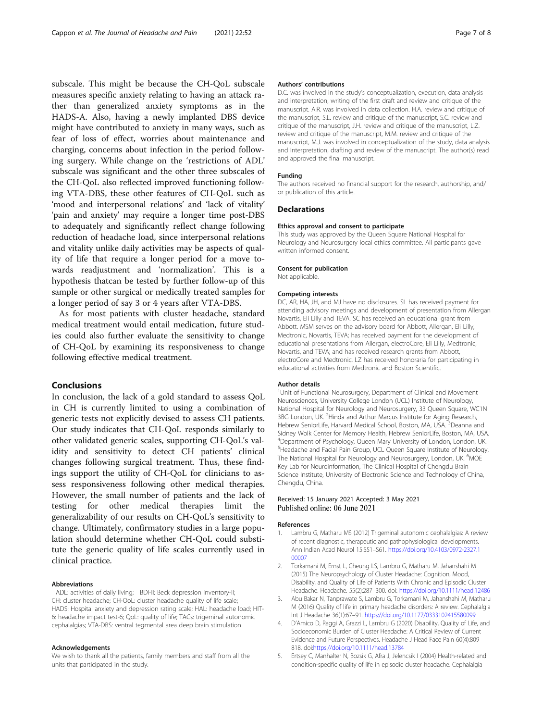<span id="page-6-0"></span>subscale. This might be because the CH-QoL subscale measures specific anxiety relating to having an attack rather than generalized anxiety symptoms as in the HADS-A. Also, having a newly implanted DBS device might have contributed to anxiety in many ways, such as fear of loss of effect, worries about maintenance and charging, concerns about infection in the period following surgery. While change on the 'restrictions of ADL' subscale was significant and the other three subscales of the CH-QoL also reflected improved functioning following VTA-DBS, these other features of CH-QoL such as 'mood and interpersonal relations' and 'lack of vitality' 'pain and anxiety' may require a longer time post-DBS to adequately and significantly reflect change following reduction of headache load, since interpersonal relations and vitality unlike daily activities may be aspects of quality of life that require a longer period for a move towards readjustment and 'normalization'. This is a hypothesis thatcan be tested by further follow-up of this sample or other surgical or medically treated samples for a longer period of say 3 or 4 years after VTA-DBS.

As for most patients with cluster headache, standard medical treatment would entail medication, future studies could also further evaluate the sensitivity to change of CH-QoL by examining its responsiveness to change following effective medical treatment.

# Conclusions

In conclusion, the lack of a gold standard to assess QoL in CH is currently limited to using a combination of generic tests not explicitly devised to assess CH patients. Our study indicates that CH-QoL responds similarly to other validated generic scales, supporting CH-QoL's validity and sensitivity to detect CH patients' clinical changes following surgical treatment. Thus, these findings support the utility of CH-QoL for clinicians to assess responsiveness following other medical therapies. However, the small number of patients and the lack of testing for other medical therapies limit the generalizability of our results on CH-QoL's sensitivity to change. Ultimately, confirmatory studies in a large population should determine whether CH-QoL could substitute the generic quality of life scales currently used in clinical practice.

#### Abbreviations

ADL: activities of daily living; BDI-II: Beck depression inventory-II; CH: cluster headache; CH-QoL: cluster headache quality of life scale; HADS: Hospital anxiety and depression rating scale; HAL: headache load; HIT-6: headache impact test-6; QoL: quality of life; TACs: trigeminal autonomic cephalalgias; VTA-DBS: ventral tegmental area deep brain stimulation

#### Acknowledgements

We wish to thank all the patients, family members and staff from all the units that participated in the study.

#### Authors' contributions

D.C. was involved in the study's conceptualization, execution, data analysis and interpretation, writing of the first draft and review and critique of the manuscript. A.R. was involved in data collection. H.A. review and critique of the manuscript, S.L. review and critique of the manuscript, S.C. review and critique of the manuscript, J.H. review and critique of the manuscript, L.Z. review and critique of the manuscript, M.M. review and critique of the manuscript, M.J. was involved in conceptualization of the study, data analysis and interpretation, drafting and review of the manuscript. The author(s) read and approved the final manuscript.

#### Funding

The authors received no financial support for the research, authorship, and/ or publication of this article.

# **Declarations**

#### Ethics approval and consent to participate

This study was approved by the Queen Square National Hospital for Neurology and Neurosurgery local ethics committee. All participants gave written informed consent.

#### Consent for publication

Not applicable.

#### Competing interests

DC, AR, HA, JH, and MJ have no disclosures. SL has received payment for attending advisory meetings and development of presentation from Allergan Novartis, Eli Lilly and TEVA. SC has received an educational grant from Abbott. MSM serves on the advisory board for Abbott, Allergan, Eli Lilly, Medtronic, Novartis, TEVA; has received payment for the development of educational presentations from Allergan, electroCore, Eli Lilly, Medtronic, Novartis, and TEVA; and has received research grants from Abbott, electroCore and Medtronic. LZ has received honoraria for participating in educational activities from Medtronic and Boston Scientific.

#### Author details

<sup>1</sup>Unit of Functional Neurosurgery, Department of Clinical and Movement Neurosciences, University College London (UCL) Institute of Neurology, National Hospital for Neurology and Neurosurgery, 33 Queen Square, WC1N 3BG London, UK. <sup>2</sup>Hinda and Arthur Marcus Institute for Aging Research Hebrew SeniorLife, Harvard Medical School, Boston, MA, USA.<sup>3</sup>Deanna and Sidney Wolk Center for Memory Health, Hebrew SeniorLife, Boston, MA, USA. 4 Department of Psychology, Queen Mary University of London, London, UK. <sup>5</sup>Headache and Facial Pain Group, UCL Queen Square Institute of Neurology, The National Hospital for Neurology and Neurosurgery, London, UK. <sup>6</sup>MOE Key Lab for Neuroinformation, The Clinical Hospital of Chengdu Brain Science Institute, University of Electronic Science and Technology of China, Chengdu, China.

### Received: 15 January 2021 Accepted: 3 May 2021 Published online: 06 June 2021

#### References

- Lambru G, Matharu MS (2012) Trigeminal autonomic cephalalgias: A review of recent diagnostic, therapeutic and pathophysiological developments. Ann Indian Acad Neurol 15:S51–S61. [https://doi.org/10.4103/0972-2327.1](https://doi.org/10.4103/0972-2327.100007) [00007](https://doi.org/10.4103/0972-2327.100007)
- 2. Torkamani M, Ernst L, Cheung LS, Lambru G, Matharu M, Jahanshahi M (2015) The Neuropsychology of Cluster Headache: Cognition, Mood, Disability, and Quality of Life of Patients With Chronic and Episodic Cluster Headache. Headache. 55(2):287–300. doi: <https://doi.org/10.1111/head.12486>
- 3. Abu Bakar N, Tanprawate S, Lambru G, Torkamani M, Jahanshahi M, Matharu M (2016) Quality of life in primary headache disorders: A review. Cephalalgia Int J Headache 36(1):67–91. <https://doi.org/10.1177/0333102415580099>
- 4. D'Amico D, Raggi A, Grazzi L, Lambru G (2020) Disability, Quality of Life, and Socioeconomic Burden of Cluster Headache: A Critical Review of Current Evidence and Future Perspectives. Headache J Head Face Pain 60(4):809– 818. doi:<https://doi.org/10.1111/head.13784>
- 5. Ertsey C, Manhalter N, Bozsik G, Afra J, Jelencsik I (2004) Health-related and condition-specific quality of life in episodic cluster headache. Cephalalgia